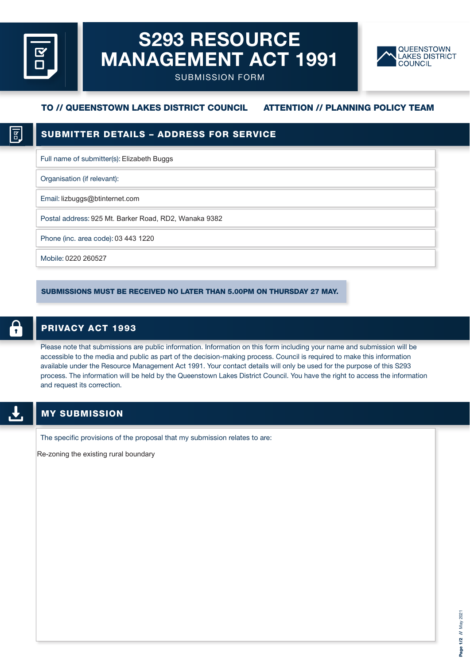# **S293 RESOURCE MANAGEMENT ACT 1991**



SUBMISSION FORM

# **TO // QUEENSTOWN LAKES DISTRICT COUNCIL ATTENTION // PLANNING POLICY TEAM**

Full name of submitter(s): Elizabeth Buggs

Organisation (if relevant):

Email: lizbuggs@btinternet.com

Postal address: 925 Mt. Barker Road, RD2, Wanaka 9382

Phone (inc. area code): 03 443 1220

Mobile: 0220 260527

SUBMISSIONS MUST BE RECEIVED NO LATER THAN 5.00PM ON THURSDAY 27 MAY.

## **PRIVACY ACT 1993**

Please note that submissions are public information. Information on this form including your name and submission will be accessible to the media and public as part of the decision-making process. Council is required to make this information available under the Resource Management Act 1991. Your contact details will only be used for the purpose of this S293 process. The information will be held by the Queenstown Lakes District Council. You have the right to access the information and request its correction.

The specific provisions of the proposal that my submission relates to are:

Re-zoning the existing rural boundary